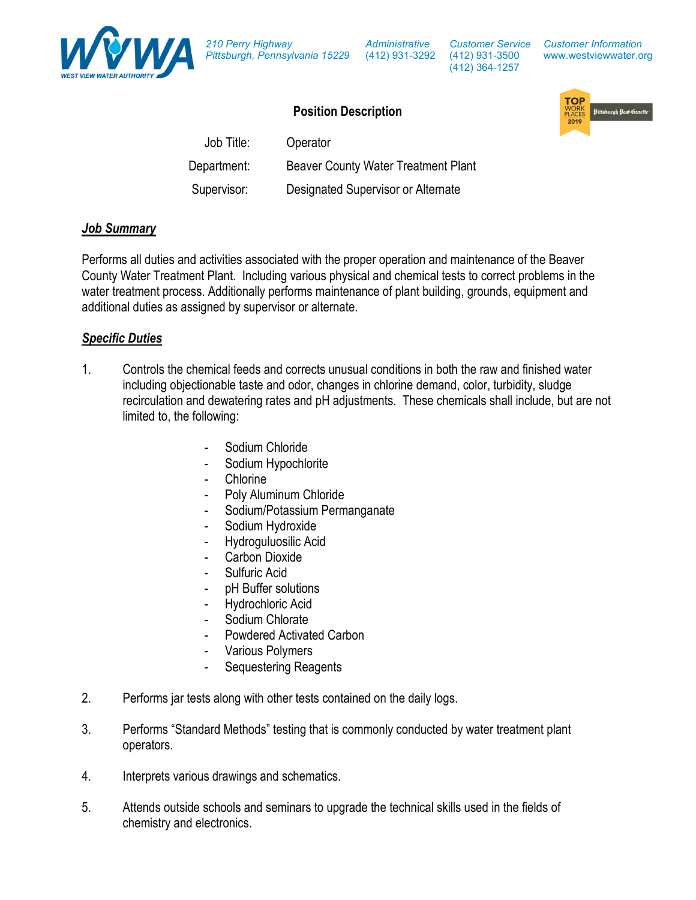*210 Perry Highway Pittsburgh, Pennsylvania 15229*

*Administrative*

(412) 931-3292 (412) 931-3500 *Customer Service* (412) 364-1257

#### *Customer Information* www.westviewwater.org

# **Position Description**

| L ASIMAII DESPIINMAII |                                     |  |
|-----------------------|-------------------------------------|--|
| Job Title:            | Operator                            |  |
| Department:           | Beaver County Water Treatment Plant |  |
| Supervisor:           | Designated Supervisor or Alternate  |  |

#### *Job Summary*

Performs all duties and activities associated with the proper operation and maintenance of the Beaver County Water Treatment Plant. Including various physical and chemical tests to correct problems in the water treatment process. Additionally performs maintenance of plant building, grounds, equipment and additional duties as assigned by supervisor or alternate.

#### *Specific Duties*

- 1. Controls the chemical feeds and corrects unusual conditions in both the raw and finished water including objectionable taste and odor, changes in chlorine demand, color, turbidity, sludge recirculation and dewatering rates and pH adjustments. These chemicals shall include, but are not limited to, the following:
	- Sodium Chloride
	- Sodium Hypochlorite
	- **Chlorine**

Department:

- Poly Aluminum Chloride
- Sodium/Potassium Permanganate
- Sodium Hydroxide
- Hydroguluosilic Acid
- Carbon Dioxide
- Sulfuric Acid
- pH Buffer solutions
- Hydrochloric Acid
- Sodium Chlorate
	- Powdered Activated Carbon
- Various Polymers
- Sequestering Reagents
- 2. Performs jar tests along with other tests contained on the daily logs.
- 3. Performs "Standard Methods" testing that is commonly conducted by water treatment plant operators.
- 4. Interprets various drawings and schematics.
- 5. Attends outside schools and seminars to upgrade the technical skills used in the fields of chemistry and electronics.

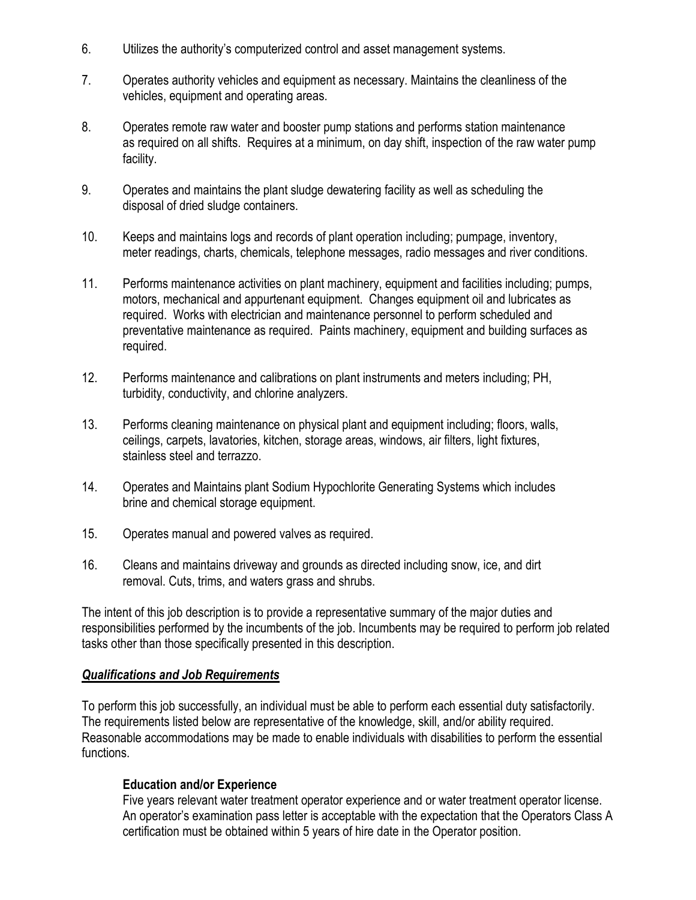- 6. Utilizes the authority's computerized control and asset management systems.
- 7. Operates authority vehicles and equipment as necessary. Maintains the cleanliness of the vehicles, equipment and operating areas.
- 8. Operates remote raw water and booster pump stations and performs station maintenance as required on all shifts. Requires at a minimum, on day shift, inspection of the raw water pump facility.
- 9. Operates and maintains the plant sludge dewatering facility as well as scheduling the disposal of dried sludge containers.
- 10. Keeps and maintains logs and records of plant operation including; pumpage, inventory, meter readings, charts, chemicals, telephone messages, radio messages and river conditions.
- 11. Performs maintenance activities on plant machinery, equipment and facilities including; pumps, motors, mechanical and appurtenant equipment. Changes equipment oil and lubricates as required. Works with electrician and maintenance personnel to perform scheduled and preventative maintenance as required. Paints machinery, equipment and building surfaces as required.
- 12. Performs maintenance and calibrations on plant instruments and meters including; PH, turbidity, conductivity, and chlorine analyzers.
- 13. Performs cleaning maintenance on physical plant and equipment including; floors, walls, ceilings, carpets, lavatories, kitchen, storage areas, windows, air filters, light fixtures, stainless steel and terrazzo.
- 14. Operates and Maintains plant Sodium Hypochlorite Generating Systems which includes brine and chemical storage equipment.
- 15. Operates manual and powered valves as required.
- 16. Cleans and maintains driveway and grounds as directed including snow, ice, and dirt removal. Cuts, trims, and waters grass and shrubs.

The intent of this job description is to provide a representative summary of the major duties and responsibilities performed by the incumbents of the job. Incumbents may be required to perform job related tasks other than those specifically presented in this description.

### *Qualifications and Job Requirements*

To perform this job successfully, an individual must be able to perform each essential duty satisfactorily. The requirements listed below are representative of the knowledge, skill, and/or ability required. Reasonable accommodations may be made to enable individuals with disabilities to perform the essential functions.

### **Education and/or Experience**

Five years relevant water treatment operator experience and or water treatment operator license. An operator's examination pass letter is acceptable with the expectation that the Operators Class A certification must be obtained within 5 years of hire date in the Operator position.